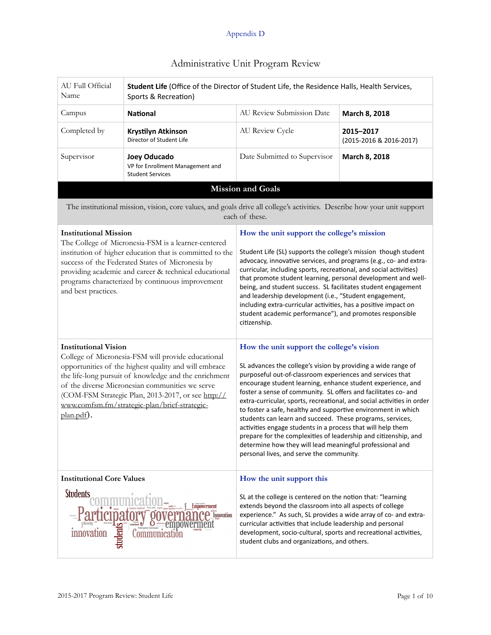| AU Full Official<br>Name                                                                                                                                                                                                                                                                                                                                                    | Student Life (Office of the Director of Student Life, the Residence Halls, Health Services,<br>Sports & Recreation)      |                                                                                                                                                                                                                                                                                                                                                                                                                                                                                                                                                                                                                                                                                                                                                            |                                      |  |
|-----------------------------------------------------------------------------------------------------------------------------------------------------------------------------------------------------------------------------------------------------------------------------------------------------------------------------------------------------------------------------|--------------------------------------------------------------------------------------------------------------------------|------------------------------------------------------------------------------------------------------------------------------------------------------------------------------------------------------------------------------------------------------------------------------------------------------------------------------------------------------------------------------------------------------------------------------------------------------------------------------------------------------------------------------------------------------------------------------------------------------------------------------------------------------------------------------------------------------------------------------------------------------------|--------------------------------------|--|
| Campus                                                                                                                                                                                                                                                                                                                                                                      | <b>National</b>                                                                                                          | AU Review Submission Date<br>March 8, 2018                                                                                                                                                                                                                                                                                                                                                                                                                                                                                                                                                                                                                                                                                                                 |                                      |  |
| Completed by                                                                                                                                                                                                                                                                                                                                                                | Krystilyn Atkinson<br>Director of Student Life                                                                           | AU Review Cycle                                                                                                                                                                                                                                                                                                                                                                                                                                                                                                                                                                                                                                                                                                                                            | 2015-2017<br>(2015-2016 & 2016-2017) |  |
| Supervisor                                                                                                                                                                                                                                                                                                                                                                  | Joey Oducado<br>VP for Enrollment Management and<br><b>Student Services</b>                                              | Date Submitted to Supervisor                                                                                                                                                                                                                                                                                                                                                                                                                                                                                                                                                                                                                                                                                                                               | March 8, 2018                        |  |
|                                                                                                                                                                                                                                                                                                                                                                             |                                                                                                                          | <b>Mission and Goals</b>                                                                                                                                                                                                                                                                                                                                                                                                                                                                                                                                                                                                                                                                                                                                   |                                      |  |
|                                                                                                                                                                                                                                                                                                                                                                             | The institutional mission, vision, core values, and goals drive all college's activities. Describe how your unit support | each of these.                                                                                                                                                                                                                                                                                                                                                                                                                                                                                                                                                                                                                                                                                                                                             |                                      |  |
| <b>Institutional Mission</b><br>The College of Micronesia-FSM is a learner-centered<br>institution of higher education that is committed to the<br>success of the Federated States of Micronesia by<br>providing academic and career & technical educational<br>programs characterized by continuous improvement<br>and best practices.                                     |                                                                                                                          | How the unit support the college's mission<br>Student Life (SL) supports the college's mission though student<br>advocacy, innovative services, and programs (e.g., co- and extra-<br>curricular, including sports, recreational, and social activities)<br>that promote student learning, personal development and well-<br>being, and student success. SL facilitates student engagement<br>and leadership development (i.e., "Student engagement,<br>including extra-curricular activities, has a positive impact on<br>student academic performance"), and promotes responsible<br>citizenship.                                                                                                                                                        |                                      |  |
| <b>Institutional Vision</b><br>College of Micronesia-FSM will provide educational<br>opportunities of the highest quality and will embrace<br>the life-long pursuit of knowledge and the enrichment<br>of the diverse Micronesian communities we serve<br>(COM-FSM Strategic Plan, 2013-2017, or see http://<br>www.comfsm.fm/strategic-plan/brief-strategic-<br>plan.pdf). |                                                                                                                          | How the unit support the college's vision<br>SL advances the college's vision by providing a wide range of<br>purposeful out-of-classroom experiences and services that<br>encourage student learning, enhance student experience, and<br>foster a sense of community. SL offers and facilitates co- and<br>extra-curricular, sports, recreational, and social activities in order<br>to foster a safe, healthy and supportive environment in which<br>students can learn and succeed. These programs, services,<br>activities engage students in a process that will help them<br>prepare for the complexities of leadership and citizenship, and<br>determine how they will lead meaningful professional and<br>personal lives, and serve the community. |                                      |  |
| <b>Institutional Core Values</b><br><b>Students</b><br>Empowerment<br>Innovation<br>hudeni<br>innovation<br>Communica                                                                                                                                                                                                                                                       |                                                                                                                          | How the unit support this<br>SL at the college is centered on the notion that: "learning<br>extends beyond the classroom into all aspects of college<br>experience." As such, SL provides a wide array of co- and extra-<br>curricular activities that include leadership and personal<br>development, socio-cultural, sports and recreational activities,<br>student clubs and organizations, and others.                                                                                                                                                                                                                                                                                                                                                 |                                      |  |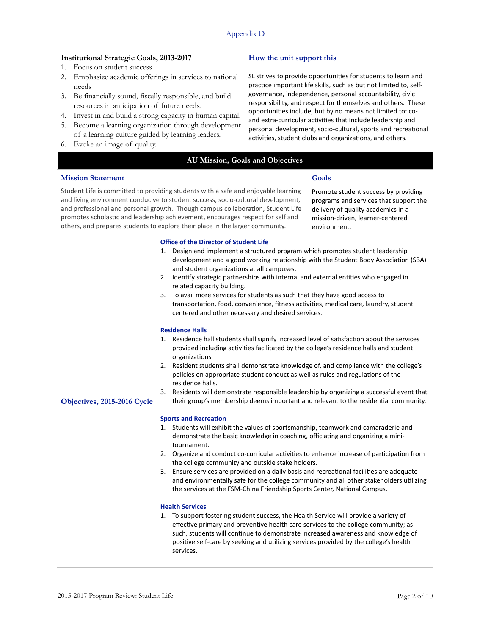| <b>Institutional Strategic Goals, 2013-2017</b>                                                                                                                                                                                                                                                                                                                                                                                          | How the unit support this                                                                                                                                                                                                                                                                                                                                                                                                                                                                                                                                                                                                                                                                                                                                                                                                                                                                                                                                                                                                                                                                                                                                                                                                                                                                                                                                                                                                                                                                                                                                                                                                                                                                                                                                                                                                                                                                                                                                                                            |  |
|------------------------------------------------------------------------------------------------------------------------------------------------------------------------------------------------------------------------------------------------------------------------------------------------------------------------------------------------------------------------------------------------------------------------------------------|------------------------------------------------------------------------------------------------------------------------------------------------------------------------------------------------------------------------------------------------------------------------------------------------------------------------------------------------------------------------------------------------------------------------------------------------------------------------------------------------------------------------------------------------------------------------------------------------------------------------------------------------------------------------------------------------------------------------------------------------------------------------------------------------------------------------------------------------------------------------------------------------------------------------------------------------------------------------------------------------------------------------------------------------------------------------------------------------------------------------------------------------------------------------------------------------------------------------------------------------------------------------------------------------------------------------------------------------------------------------------------------------------------------------------------------------------------------------------------------------------------------------------------------------------------------------------------------------------------------------------------------------------------------------------------------------------------------------------------------------------------------------------------------------------------------------------------------------------------------------------------------------------------------------------------------------------------------------------------------------------|--|
| Focus on student success<br>1.<br>Emphasize academic offerings in services to national<br>2.<br>needs<br>Be financially sound, fiscally responsible, and build<br>3.<br>resources in anticipation of future needs.<br>Invest in and build a strong capacity in human capital.<br>4.<br>Become a learning organization through development<br>5.<br>of a learning culture guided by learning leaders.<br>Evoke an image of quality.<br>6. | SL strives to provide opportunities for students to learn and<br>practice important life skills, such as but not limited to, self-<br>governance, independence, personal accountability, civic<br>responsibility, and respect for themselves and others. These<br>opportunities include, but by no means not limited to: co-<br>and extra-curricular activities that include leadership and<br>personal development, socio-cultural, sports and recreational<br>activities, student clubs and organizations, and others.                                                                                                                                                                                                                                                                                                                                                                                                                                                                                                                                                                                                                                                                                                                                                                                                                                                                                                                                                                                                                                                                                                                                                                                                                                                                                                                                                                                                                                                                             |  |
|                                                                                                                                                                                                                                                                                                                                                                                                                                          | AU Mission, Goals and Objectives                                                                                                                                                                                                                                                                                                                                                                                                                                                                                                                                                                                                                                                                                                                                                                                                                                                                                                                                                                                                                                                                                                                                                                                                                                                                                                                                                                                                                                                                                                                                                                                                                                                                                                                                                                                                                                                                                                                                                                     |  |
| <b>Mission Statement</b>                                                                                                                                                                                                                                                                                                                                                                                                                 | Goals                                                                                                                                                                                                                                                                                                                                                                                                                                                                                                                                                                                                                                                                                                                                                                                                                                                                                                                                                                                                                                                                                                                                                                                                                                                                                                                                                                                                                                                                                                                                                                                                                                                                                                                                                                                                                                                                                                                                                                                                |  |
| Student Life is committed to providing students with a safe and enjoyable learning<br>and living environment conducive to student success, socio-cultural development,<br>and professional and personal growth. Though campus collaboration, Student Life<br>promotes scholastic and leadership achievement, encourages respect for self and<br>others, and prepares students to explore their place in the larger community.            | Promote student success by providing<br>programs and services that support the<br>delivery of quality academics in a<br>mission-driven, learner-centered<br>environment.                                                                                                                                                                                                                                                                                                                                                                                                                                                                                                                                                                                                                                                                                                                                                                                                                                                                                                                                                                                                                                                                                                                                                                                                                                                                                                                                                                                                                                                                                                                                                                                                                                                                                                                                                                                                                             |  |
| <b>Office of the Director of Student Life</b><br>and student organizations at all campuses.<br>2.<br>related capacity building.<br>3.<br><b>Residence Halls</b><br>1.<br>organizations.<br>2.<br>residence halls.<br>3.<br>Objectives, 2015-2016 Cycle<br><b>Sports and Recreation</b><br>tournament.<br><b>Health Services</b><br>services.                                                                                             | 1. Design and implement a structured program which promotes student leadership<br>development and a good working relationship with the Student Body Association (SBA)<br>Identify strategic partnerships with internal and external entities who engaged in<br>To avail more services for students as such that they have good access to<br>transportation, food, convenience, fitness activities, medical care, laundry, student<br>centered and other necessary and desired services.<br>Residence hall students shall signify increased level of satisfaction about the services<br>provided including activities facilitated by the college's residence halls and student<br>Resident students shall demonstrate knowledge of, and compliance with the college's<br>policies on appropriate student conduct as well as rules and regulations of the<br>Residents will demonstrate responsible leadership by organizing a successful event that<br>their group's membership deems important and relevant to the residential community.<br>1. Students will exhibit the values of sportsmanship, teamwork and camaraderie and<br>demonstrate the basic knowledge in coaching, officiating and organizing a mini-<br>2. Organize and conduct co-curricular activities to enhance increase of participation from<br>the college community and outside stake holders.<br>3. Ensure services are provided on a daily basis and recreational facilities are adequate<br>and environmentally safe for the college community and all other stakeholders utilizing<br>the services at the FSM-China Friendship Sports Center, National Campus.<br>1. To support fostering student success, the Health Service will provide a variety of<br>effective primary and preventive health care services to the college community; as<br>such, students will continue to demonstrate increased awareness and knowledge of<br>positive self-care by seeking and utilizing services provided by the college's health |  |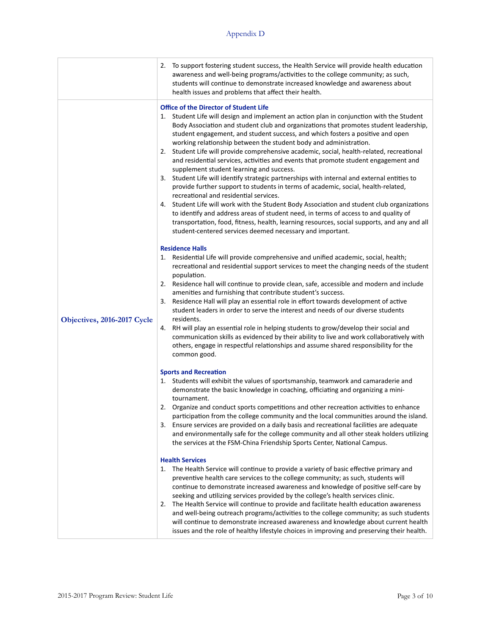|                             | 2. To support fostering student success, the Health Service will provide health education<br>awareness and well-being programs/activities to the college community; as such,<br>students will continue to demonstrate increased knowledge and awareness about<br>health issues and problems that affect their health.                                                                                                                                                                                                                                                                                                                                                                                                                                                                                                                                                                                                                                                                                                                                                                                                                                                                                                                                                                                                                                                                                                                                                                                                                                                                                                                                                                                                                                                                                                                                                                                                                                                                                                                                                                          |
|-----------------------------|------------------------------------------------------------------------------------------------------------------------------------------------------------------------------------------------------------------------------------------------------------------------------------------------------------------------------------------------------------------------------------------------------------------------------------------------------------------------------------------------------------------------------------------------------------------------------------------------------------------------------------------------------------------------------------------------------------------------------------------------------------------------------------------------------------------------------------------------------------------------------------------------------------------------------------------------------------------------------------------------------------------------------------------------------------------------------------------------------------------------------------------------------------------------------------------------------------------------------------------------------------------------------------------------------------------------------------------------------------------------------------------------------------------------------------------------------------------------------------------------------------------------------------------------------------------------------------------------------------------------------------------------------------------------------------------------------------------------------------------------------------------------------------------------------------------------------------------------------------------------------------------------------------------------------------------------------------------------------------------------------------------------------------------------------------------------------------------------|
| Objectives, 2016-2017 Cycle | <b>Office of the Director of Student Life</b><br>1. Student Life will design and implement an action plan in conjunction with the Student<br>Body Association and student club and organizations that promotes student leadership,<br>student engagement, and student success, and which fosters a positive and open<br>working relationship between the student body and administration.<br>2. Student Life will provide comprehensive academic, social, health-related, recreational<br>and residential services, activities and events that promote student engagement and<br>supplement student learning and success.<br>3. Student Life will identify strategic partnerships with internal and external entities to<br>provide further support to students in terms of academic, social, health-related,<br>recreational and residential services.<br>4. Student Life will work with the Student Body Association and student club organizations<br>to identify and address areas of student need, in terms of access to and quality of<br>transportation, food, fitness, health, learning resources, social supports, and any and all<br>student-centered services deemed necessary and important.<br><b>Residence Halls</b><br>Residential Life will provide comprehensive and unified academic, social, health;<br>1.<br>recreational and residential support services to meet the changing needs of the student<br>population.<br>2. Residence hall will continue to provide clean, safe, accessible and modern and include<br>amenities and furnishing that contribute student's success.<br>Residence Hall will play an essential role in effort towards development of active<br>3.<br>student leaders in order to serve the interest and needs of our diverse students<br>residents.<br>4. RH will play an essential role in helping students to grow/develop their social and<br>communication skills as evidenced by their ability to live and work collaboratively with<br>others, engage in respectful relationships and assume shared responsibility for the<br>common good. |
|                             | <b>Sports and Recreation</b><br>1. Students will exhibit the values of sportsmanship, teamwork and camaraderie and<br>demonstrate the basic knowledge in coaching, officiating and organizing a mini-<br>tournament.<br>2. Organize and conduct sports competitions and other recreation activities to enhance<br>participation from the college community and the local communities around the island.<br>3. Ensure services are provided on a daily basis and recreational facilities are adequate<br>and environmentally safe for the college community and all other steak holders utilizing<br>the services at the FSM-China Friendship Sports Center, National Campus.<br><b>Health Services</b><br>The Health Service will continue to provide a variety of basic effective primary and<br>1.<br>preventive health care services to the college community; as such, students will<br>continue to demonstrate increased awareness and knowledge of positive self-care by<br>seeking and utilizing services provided by the college's health services clinic.<br>The Health Service will continue to provide and facilitate health education awareness<br>2.<br>and well-being outreach programs/activities to the college community; as such students<br>will continue to demonstrate increased awareness and knowledge about current health<br>issues and the role of healthy lifestyle choices in improving and preserving their health.                                                                                                                                                                                                                                                                                                                                                                                                                                                                                                                                                                                                                                               |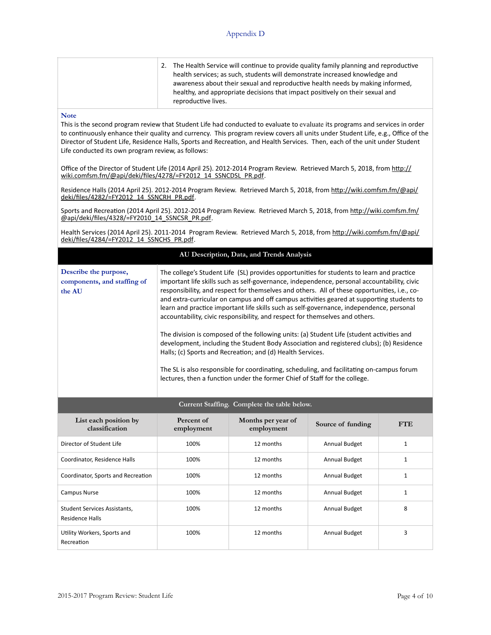|  | 2. The Health Service will continue to provide quality family planning and reproductive<br>health services; as such, students will demonstrate increased knowledge and<br>awareness about their sexual and reproductive health needs by making informed,<br>healthy, and appropriate decisions that impact positively on their sexual and<br>reproductive lives. |
|--|------------------------------------------------------------------------------------------------------------------------------------------------------------------------------------------------------------------------------------------------------------------------------------------------------------------------------------------------------------------|
|--|------------------------------------------------------------------------------------------------------------------------------------------------------------------------------------------------------------------------------------------------------------------------------------------------------------------------------------------------------------------|

### **Note**

This is the second program review that Student Life had conducted to evaluate to evaluate its programs and services in order to continuously enhance their quality and currency. This program review covers all units under Student Life, e.g., Office of the Director of Student Life, Residence Halls, Sports and Recreation, and Health Services. Then, each of the unit under Student Life conducted its own program review, as follows:

Office of the Director of Student Life (2014 April 25). 2012-2014 Program Review. Retrieved March 5, 2018, from http:// wiki.comfsm.fm/@api/deki/files/4278/=FY2012\_14\_SSNCDSL\_PR.pdf.

Residence Halls (2014 April 25). 2012-2014 Program Review. Retrieved March 5, 2018, from http://wiki.comfsm.fm/@api/ deki/files/4282/=FY2012\_14\_SSNCRH\_PR.pdf.

Sports and Recreation (2014 April 25). 2012-2014 Program Review. Retrieved March 5, 2018, from http://wiki.comfsm.fm/ @api/deki/files/4328/=FY2010\_14\_SSNCSR\_PR.pdf.

Health Services (2014 April 25). 2011-2014 Program Review. Retrieved March 5, 2018, from http://wiki.comfsm.fm/@api/ deki/files/4284/=FY2012\_14\_SSNCHS\_PR.pdf.

|                                                                |                                                                                                                                                                                                                                                                                                                                                                                                                                                                                                                                                                                                                                                                                                                                                                                                                                                                                                                                                                                                     | AU Description, Data, and Trends Analysis |                      |              |  |
|----------------------------------------------------------------|-----------------------------------------------------------------------------------------------------------------------------------------------------------------------------------------------------------------------------------------------------------------------------------------------------------------------------------------------------------------------------------------------------------------------------------------------------------------------------------------------------------------------------------------------------------------------------------------------------------------------------------------------------------------------------------------------------------------------------------------------------------------------------------------------------------------------------------------------------------------------------------------------------------------------------------------------------------------------------------------------------|-------------------------------------------|----------------------|--------------|--|
| Describe the purpose,<br>components, and staffing of<br>the AU | The college's Student Life (SL) provides opportunities for students to learn and practice<br>important life skills such as self-governance, independence, personal accountability, civic<br>responsibility, and respect for themselves and others. All of these opportunities, i.e., co-<br>and extra-curricular on campus and off campus activities geared at supporting students to<br>learn and practice important life skills such as self-governance, independence, personal<br>accountability, civic responsibility, and respect for themselves and others.<br>The division is composed of the following units: (a) Student Life (student activities and<br>development, including the Student Body Association and registered clubs); (b) Residence<br>Halls; (c) Sports and Recreation; and (d) Health Services.<br>The SL is also responsible for coordinating, scheduling, and facilitating on-campus forum<br>lectures, then a function under the former Chief of Staff for the college. |                                           |                      |              |  |
| Current Staffing. Complete the table below.                    |                                                                                                                                                                                                                                                                                                                                                                                                                                                                                                                                                                                                                                                                                                                                                                                                                                                                                                                                                                                                     |                                           |                      |              |  |
| List each position by<br>classification                        | Percent of<br>employment                                                                                                                                                                                                                                                                                                                                                                                                                                                                                                                                                                                                                                                                                                                                                                                                                                                                                                                                                                            | Months per year of<br>employment          | Source of funding    | <b>FTE</b>   |  |
| Director of Student Life                                       | 100%                                                                                                                                                                                                                                                                                                                                                                                                                                                                                                                                                                                                                                                                                                                                                                                                                                                                                                                                                                                                | 12 months                                 | <b>Annual Budget</b> | $\mathbf{1}$ |  |
| Coordinator, Residence Halls                                   | 100%                                                                                                                                                                                                                                                                                                                                                                                                                                                                                                                                                                                                                                                                                                                                                                                                                                                                                                                                                                                                | 12 months                                 | <b>Annual Budget</b> | $\mathbf{1}$ |  |
| Coordinator, Sports and Recreation                             | 100%                                                                                                                                                                                                                                                                                                                                                                                                                                                                                                                                                                                                                                                                                                                                                                                                                                                                                                                                                                                                | 12 months                                 | <b>Annual Budget</b> | $\mathbf{1}$ |  |
| <b>Campus Nurse</b>                                            | 100%                                                                                                                                                                                                                                                                                                                                                                                                                                                                                                                                                                                                                                                                                                                                                                                                                                                                                                                                                                                                | 12 months                                 | Annual Budget        | $\mathbf{1}$ |  |
| <b>Student Services Assistants,</b><br><b>Residence Halls</b>  | 100%                                                                                                                                                                                                                                                                                                                                                                                                                                                                                                                                                                                                                                                                                                                                                                                                                                                                                                                                                                                                | 12 months                                 | Annual Budget        | 8            |  |
| Utility Workers, Sports and<br>Recreation                      | 100%                                                                                                                                                                                                                                                                                                                                                                                                                                                                                                                                                                                                                                                                                                                                                                                                                                                                                                                                                                                                | 12 months                                 | <b>Annual Budget</b> | 3            |  |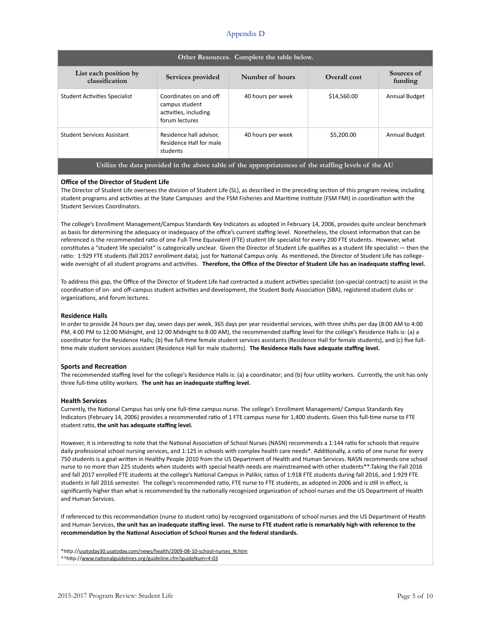| Other Resources. Complete the table below.                                                           |                                                                                     |                   |              |                       |  |
|------------------------------------------------------------------------------------------------------|-------------------------------------------------------------------------------------|-------------------|--------------|-----------------------|--|
| List each position by<br>classification                                                              | Services provided                                                                   | Number of hours   | Overall cost | Sources of<br>funding |  |
| <b>Student Activities Specialist</b>                                                                 | Coordinates on and off<br>campus student<br>activities, including<br>forum lectures | 40 hours per week | \$14,560.00  | <b>Annual Budget</b>  |  |
| <b>Student Services Assistant</b>                                                                    | Residence hall advisor,<br>Residence Hall for male<br>students                      | 40 hours per week | \$5,200.00   | Annual Budget         |  |
| Utilize the data provided in the above table of the appropriateness of the staffing levels of the AU |                                                                                     |                   |              |                       |  |

#### **Office of the Director of Student Life**

The Director of Student Life oversees the division of Student Life (SL), as described in the preceding section of this program review, including student programs and activities at the State Campuses and the FSM Fisheries and Maritime Institute (FSM FMI) in coordination with the Student Services Coordinators.

The college's Enrollment Management/Campus Standards Key Indicators as adopted in February 14, 2006, provides quite unclear benchmark as basis for determining the adequacy or inadequacy of the office's current staffing level. Nonetheless, the closest information that can be referenced is the recommended ratio of one Full-Time Equivalent (FTE) student life specialist for every 200 FTE students. However, what constitutes a "student life specialist" is categorically unclear. Given the Director of Student Life qualifies as a student life specialist - then the ratio: 1:929 FTE students (fall 2017 enrollment data), just for National Campus only. As mentioned, the Director of Student Life has collegewide oversight of all student programs and activities. Therefore, the Office of the Director of Student Life has an inadequate staffing level.

To address this gap, the Office of the Director of Student Life had contracted a student activities specialist (on-special contract) to assist in the coordination of on- and off-campus student activities and development, the Student Body Association (SBA), registered student clubs or organizations, and forum lectures.

#### **Residence Halls**

In order to provide 24 hours per day, seven days per week, 365 days per year residential services, with three shifts per day (8:00 AM to 4:00 PM, 4:00 PM to 12:00 Midnight, and 12:00 Midnight to 8:00 AM), the recommended staffing level for the college's Residence Halls is: (a) a coordinator for the Residence Halls; (b) five full-time female student services assistants (Residence Hall for female students), and (c) five fulltime male student services assistant (Residence Hall for male students). The Residence Halls have adequate staffing level.

#### **Sports and Recreation**

The recommended staffing level for the college's Residence Halls is: (a) a coordinator; and (b) four utility workers. Currently, the unit has only three full-time utility workers. The unit has an inadequate staffing level.

#### **Health Services**

Currently, the National Campus has only one full-time campus nurse. The college's Enrollment Management/ Campus Standards Key Indicators (February 14, 2006) provides a recommended ratio of 1 FTE campus nurse for 1,400 students. Given this full-time nurse to FTE student ratio, the unit has adequate staffing level.

However, it is interesting to note that the National Association of School Nurses (NASN) recommends a 1:144 ratio for schools that require daily professional school nursing services, and 1:125 in schools with complex health care needs\*. Additionally, a ratio of one nurse for every 750 students is a goal written in Healthy People 2010 from the US Department of Health and Human Services. NASN recommends one school nurse to no more than 225 students when students with special health needs are mainstreamed with other students\*\*.Taking the Fall 2016 and fall 2017 enrolled FTE students at the college's National Campus in Palikir, ratios of 1:918 FTE students during fall 2016, and 1:929 FTE students in fall 2016 semester. The college's recommended ratio, FTE nurse to FTE students, as adopted in 2006 and is still in effect, is significantly higher than what is recommended by the nationally recognized organization of school nurses and the US Department of Health and Human Services.

If referenced to this recommendation (nurse to student ratio) by recognized organizations of school nurses and the US Department of Health and Human Services, the unit has an inadequate staffing level. The nurse to FTE student ratio is remarkably high with reference to the recommendation by the National Association of School Nurses and the federal standards.

\*hYp://[usatoday30.usatoday.com/news/health/2009-08-10-school-nurses\\_N.htm](http://usatoday30.usatoday.com/news/health/2009-08-10-school-nurses_N.htm) \*\*http://www.nationalguidelines.org/guideline.cfm?guideNum=4-03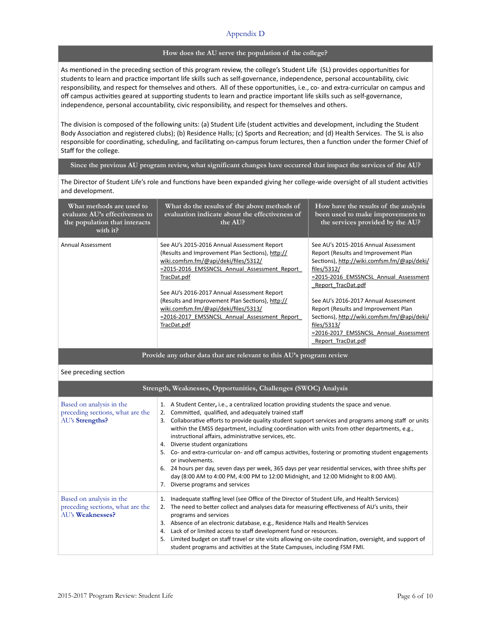### **How does the AU serve the population of the college?**

As mentioned in the preceding section of this program review, the college's Student Life (SL) provides opportunities for students to learn and practice important life skills such as self-governance, independence, personal accountability, civic responsibility, and respect for themselves and others. All of these opportunities, i.e., co- and extra-curricular on campus and off campus activities geared at supporting students to learn and practice important life skills such as self-governance, independence, personal accountability, civic responsibility, and respect for themselves and others.

The division is composed of the following units: (a) Student Life (student activities and development, including the Student Body Association and registered clubs); (b) Residence Halls; (c) Sports and Recreation; and (d) Health Services. The SL is also responsible for coordinating, scheduling, and facilitating on-campus forum lectures, then a function under the former Chief of Staff for the college.

### **Since the previous AU program review, what significant changes have occurred that impact the services of the AU?**

The Director of Student Life's role and functions have been expanded giving her college-wide oversight of all student activities and development.

| What methods are used to<br>evaluate AU's effectiveness to<br>the population that interacts<br>with it? | What do the results of the above methods of<br>evaluation indicate about the effectiveness of<br>the AUP                                                                                                                                                                                                                                                                                                         | How have the results of the analysis<br>been used to make improvements to<br>the services provided by the AU?                                                                                                                                                                                                                                                                                                          |
|---------------------------------------------------------------------------------------------------------|------------------------------------------------------------------------------------------------------------------------------------------------------------------------------------------------------------------------------------------------------------------------------------------------------------------------------------------------------------------------------------------------------------------|------------------------------------------------------------------------------------------------------------------------------------------------------------------------------------------------------------------------------------------------------------------------------------------------------------------------------------------------------------------------------------------------------------------------|
| Annual Assessment                                                                                       | See AU's 2015-2016 Annual Assessment Report<br>(Results and Improvement Plan Sections), http://<br>wiki.comfsm.fm/@api/deki/files/5312/<br>=2015-2016 EMSSNCSL Annual Assessment Report<br>TracDat.pdf<br>See AU's 2016-2017 Annual Assessment Report<br>(Results and Improvement Plan Sections), http://<br>wiki.comfsm.fm/@api/deki/files/5313/<br>=2016-2017 EMSSNCSL Annual Assessment Report<br>TracDat.pdf | See AU's 2015-2016 Annual Assessment<br>Report (Results and Improvement Plan<br>Sections), http://wiki.comfsm.fm/@api/deki/<br>files/5312/<br>=2015-2016 EMSSNCSL Annual Assessment<br>Report TracDat.pdf<br>See AU's 2016-2017 Annual Assessment<br>Report (Results and Improvement Plan<br>Sections), http://wiki.comfsm.fm/@api/deki/<br>files/5313/<br>=2016-2017 EMSSNCSL Annual Assessment<br>Report TracDat.pdf |

**Provide any other data that are relevant to this AU's program review**

See preceding section

|                                                                                  | Strength, Weaknesses, Opportunities, Challenges (SWOC) Analysis                                                                                                                                                                                                                                                                                                                                                                                                                                                                                                                                                                                                                                                                                                                                                                           |
|----------------------------------------------------------------------------------|-------------------------------------------------------------------------------------------------------------------------------------------------------------------------------------------------------------------------------------------------------------------------------------------------------------------------------------------------------------------------------------------------------------------------------------------------------------------------------------------------------------------------------------------------------------------------------------------------------------------------------------------------------------------------------------------------------------------------------------------------------------------------------------------------------------------------------------------|
| Based on analysis in the<br>preceding sections, what are the<br>AU's Strengths?  | 1. A Student Center, i.e., a centralized location providing students the space and venue.<br>Committed, qualified, and adequately trained staff<br>2.<br>Collaborative efforts to provide quality student support services and programs among staff or units<br>3.<br>within the EMSS department, including coordination with units from other departments, e.g.,<br>instructional affairs, administrative services, etc.<br>Diverse student organizations<br>4.<br>5. Co- and extra-curricular on- and off campus activities, fostering or promoting student engagements<br>or involvements.<br>24 hours per day, seven days per week, 365 days per year residential services, with three shifts per<br>6.<br>day (8:00 AM to 4:00 PM, 4:00 PM to 12:00 Midnight, and 12:00 Midnight to 8:00 AM).<br>Diverse programs and services<br>7. |
| Based on analysis in the<br>preceding sections, what are the<br>AU's Weaknesses? | Inadequate staffing level (see Office of the Director of Student Life, and Health Services)<br>1.<br>The need to better collect and analyses data for measuring effectiveness of AU's units, their<br>2.<br>programs and services<br>Absence of an electronic database, e.g., Residence Halls and Health Services<br>3.<br>Lack of or limited access to staff development fund or resources.<br>4.<br>Limited budget on staff travel or site visits allowing on-site coordination, oversight, and support of<br>5.<br>student programs and activities at the State Campuses, including FSM FMI.                                                                                                                                                                                                                                           |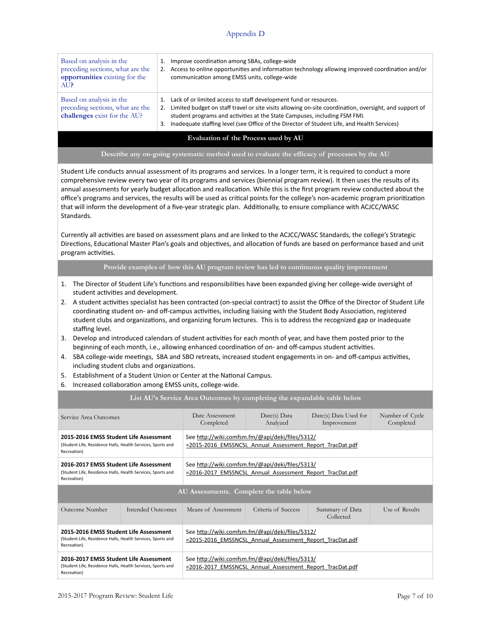| Based on analysis in the                                                                     | Improve coordination among SBAs, college-wide                                                                                                                                                                                                                                                                                                           |
|----------------------------------------------------------------------------------------------|---------------------------------------------------------------------------------------------------------------------------------------------------------------------------------------------------------------------------------------------------------------------------------------------------------------------------------------------------------|
| preceding sections, what are the                                                             | 1.                                                                                                                                                                                                                                                                                                                                                      |
| <b>opportunities</b> existing for the                                                        | Access to online opportunities and information technology allowing improved coordination and/or                                                                                                                                                                                                                                                         |
| AU?                                                                                          | communication among EMSS units, college-wide                                                                                                                                                                                                                                                                                                            |
| Based on analysis in the<br>preceding sections, what are the<br>challenges exist for the AU? | Lack of or limited access to staff development fund or resources.<br>Limited budget on staff travel or site visits allowing on-site coordination, oversight, and support of<br>student programs and activities at the State Campuses, including FSM FMI.<br>Inadequate staffing level (see Office of the Director of Student Life, and Health Services) |

### **Evaluation of the Process used by AU**

### **Describe any on-going systematic method used to evaluate the efficacy of processes by the AU**

Student Life conducts annual assessment of its programs and services. In a longer term, it is required to conduct a more comprehensive review every two year of its programs and services (biennial program review). It then uses the results of its annual assessments for yearly budget allocation and reallocation. While this is the first program review conducted about the office's programs and services, the results will be used as critical points for the college's non-academic program prioritization that will inform the development of a five-year strategic plan. Additionally, to ensure compliance with ACJCC/WASC Standards. 

Currently all activities are based on assessment plans and are linked to the ACJCC/WASC Standards, the college's Strategic Directions, Educational Master Plan's goals and objectives, and allocation of funds are based on performance based and unit program activities.

**Provide examples of how this AU program review has led to continuous quality improvement**

- 1. The Director of Student Life's functions and responsibilities have been expanded giving her college-wide oversight of student activities and development.
- 2. A student activities specialist has been contracted (on-special contract) to assist the Office of the Director of Student Life coordinating student on- and off-campus activities, including liaising with the Student Body Association, registered student clubs and organizations, and organizing forum lectures. This is to address the recognized gap or inadequate staffing level.
- 3. Develop and introduced calendars of student activities for each month of year, and have them posted prior to the beginning of each month, i.e., allowing enhanced coordination of on- and off-campus student activities.
- 4. SBA college-wide meetings, SBA and SBO retreats, increased student engagements in on- and off-campus activities, including student clubs and organizations.
- 5. Establishment of a Student Union or Center at the National Campus.
- 6. Increased collaboration among EMSS units, college-wide.

### List AU's Service Area Outcomes by completing the expandable table below

| Service Area Outcomes                                                                                                |                   | Date Assessment<br>Completed                                                                                | Date(s) Data<br>Analyzed | Date(s) Data Used for<br>Improvement | Number of Cycle<br>Completed |
|----------------------------------------------------------------------------------------------------------------------|-------------------|-------------------------------------------------------------------------------------------------------------|--------------------------|--------------------------------------|------------------------------|
| 2015-2016 EMSS Student Life Assessment<br>(Student Life, Residence Halls, Health Services, Sports and<br>Recreation) |                   | See http://wiki.comfsm.fm/@api/deki/files/5312/<br>=2015-2016 EMSSNCSL Annual Assessment Report TracDat.pdf |                          |                                      |                              |
| 2016-2017 EMSS Student Life Assessment<br>(Student Life, Residence Halls, Health Services, Sports and<br>Recreation) |                   | See http://wiki.comfsm.fm/@api/deki/files/5313/<br>=2016-2017 EMSSNCSL Annual Assessment Report TracDat.pdf |                          |                                      |                              |
| AU Assessments. Complete the table below                                                                             |                   |                                                                                                             |                          |                                      |                              |
| Outcome Number                                                                                                       | Intended Outcomes | Means of Assessment                                                                                         | Criteria of Success      | Summary of Data<br>Collected         | Use of Results               |
| 2015-2016 FMSS Student Life Assessment<br>(Student Life, Residence Halls, Health Services, Sports and<br>Recreation) |                   | See http://wiki.comfsm.fm/@api/deki/files/5312/<br>=2015-2016 EMSSNCSL Annual Assessment Report TracDat.pdf |                          |                                      |                              |
| 2016-2017 EMSS Student Life Assessment<br>(Student Life, Residence Halls, Health Services, Sports and<br>Recreation) |                   | See http://wiki.comfsm.fm/@api/deki/files/5313/<br>=2016-2017 EMSSNCSL Annual Assessment Report TracDat.pdf |                          |                                      |                              |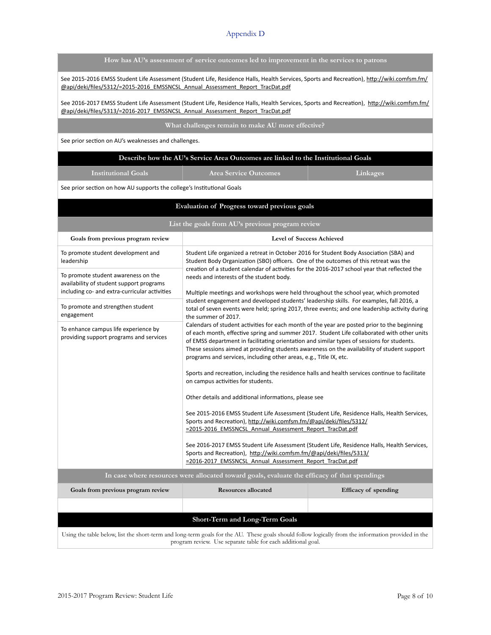| How has AU's assessment of service outcomes led to improvement in the services to patrons |  |  |
|-------------------------------------------------------------------------------------------|--|--|
|                                                                                           |  |  |
|                                                                                           |  |  |
|                                                                                           |  |  |

See 2015-2016 EMSS Student Life Assessment (Student Life, Residence Halls, Health Services, Sports and Recreation), http://wiki.comfsm.fm/ @api/deki/files/5312/=2015-2016\_EMSSNCSL\_Annual\_Assessment\_Report\_TracDat.pdf

See 2016-2017 EMSS Student Life Assessment (Student Life, Residence Halls, Health Services, Sports and Recreation), http://wiki.comfsm.fm/ @api/deki/files/5313/=2016-2017\_EMSSNCSL\_Annual\_Assessment\_Report\_TracDat.pdf

**What challenges remain to make AU more effective?**

See prior section on AU's weaknesses and challenges.

**Institutional Goals Area Service Outcomes Linkages**

See prior section on how AU supports the college's Institutional Goals

| Evaluation of Progress toward previous goals                                                                                                                                                                        |                                                                                                                                                                                                                                                                                                                                                                                                                                                                                                                                                                                                                                                                                                                                                                                                                                                                                                                                                                                                                                                                                                                                                                                                                                                                                                                                                                                                                                                                                                                                                  |                      |  |  |
|---------------------------------------------------------------------------------------------------------------------------------------------------------------------------------------------------------------------|--------------------------------------------------------------------------------------------------------------------------------------------------------------------------------------------------------------------------------------------------------------------------------------------------------------------------------------------------------------------------------------------------------------------------------------------------------------------------------------------------------------------------------------------------------------------------------------------------------------------------------------------------------------------------------------------------------------------------------------------------------------------------------------------------------------------------------------------------------------------------------------------------------------------------------------------------------------------------------------------------------------------------------------------------------------------------------------------------------------------------------------------------------------------------------------------------------------------------------------------------------------------------------------------------------------------------------------------------------------------------------------------------------------------------------------------------------------------------------------------------------------------------------------------------|----------------------|--|--|
| List the goals from AU's previous program review                                                                                                                                                                    |                                                                                                                                                                                                                                                                                                                                                                                                                                                                                                                                                                                                                                                                                                                                                                                                                                                                                                                                                                                                                                                                                                                                                                                                                                                                                                                                                                                                                                                                                                                                                  |                      |  |  |
| Goals from previous program review                                                                                                                                                                                  | Level of Success Achieved                                                                                                                                                                                                                                                                                                                                                                                                                                                                                                                                                                                                                                                                                                                                                                                                                                                                                                                                                                                                                                                                                                                                                                                                                                                                                                                                                                                                                                                                                                                        |                      |  |  |
| To promote student development and<br>leadership                                                                                                                                                                    | Student Life organized a retreat in October 2016 for Student Body Association (SBA) and<br>Student Body Organization (SBO) officers. One of the outcomes of this retreat was the<br>creation of a student calendar of activities for the 2016-2017 school year that reflected the<br>needs and interests of the student body.<br>Multiple meetings and workshops were held throughout the school year, which promoted<br>student engagement and developed students' leadership skills. For examples, fall 2016, a<br>total of seven events were held; spring 2017, three events; and one leadership activity during<br>the summer of 2017.<br>Calendars of student activities for each month of the year are posted prior to the beginning<br>of each month, effective spring and summer 2017. Student Life collaborated with other units<br>of EMSS department in facilitating orientation and similar types of sessions for students.<br>These sessions aimed at providing students awareness on the availability of student support<br>programs and services, including other areas, e.g., Title IX, etc.<br>Sports and recreation, including the residence halls and health services continue to facilitate<br>on campus activities for students.<br>Other details and additional informations, please see<br>See 2015-2016 EMSS Student Life Assessment (Student Life, Residence Halls, Health Services,<br>Sports and Recreation), http://wiki.comfsm.fm/@api/deki/files/5312/<br>=2015-2016 EMSSNCSL Annual Assessment Report TracDat.pdf |                      |  |  |
| To promote student awareness on the<br>availability of student support programs<br>including co- and extra-curricular activities                                                                                    |                                                                                                                                                                                                                                                                                                                                                                                                                                                                                                                                                                                                                                                                                                                                                                                                                                                                                                                                                                                                                                                                                                                                                                                                                                                                                                                                                                                                                                                                                                                                                  |                      |  |  |
| To promote and strengthen student<br>engagement                                                                                                                                                                     |                                                                                                                                                                                                                                                                                                                                                                                                                                                                                                                                                                                                                                                                                                                                                                                                                                                                                                                                                                                                                                                                                                                                                                                                                                                                                                                                                                                                                                                                                                                                                  |                      |  |  |
| To enhance campus life experience by<br>providing support programs and services                                                                                                                                     |                                                                                                                                                                                                                                                                                                                                                                                                                                                                                                                                                                                                                                                                                                                                                                                                                                                                                                                                                                                                                                                                                                                                                                                                                                                                                                                                                                                                                                                                                                                                                  |                      |  |  |
|                                                                                                                                                                                                                     |                                                                                                                                                                                                                                                                                                                                                                                                                                                                                                                                                                                                                                                                                                                                                                                                                                                                                                                                                                                                                                                                                                                                                                                                                                                                                                                                                                                                                                                                                                                                                  |                      |  |  |
|                                                                                                                                                                                                                     |                                                                                                                                                                                                                                                                                                                                                                                                                                                                                                                                                                                                                                                                                                                                                                                                                                                                                                                                                                                                                                                                                                                                                                                                                                                                                                                                                                                                                                                                                                                                                  |                      |  |  |
|                                                                                                                                                                                                                     |                                                                                                                                                                                                                                                                                                                                                                                                                                                                                                                                                                                                                                                                                                                                                                                                                                                                                                                                                                                                                                                                                                                                                                                                                                                                                                                                                                                                                                                                                                                                                  |                      |  |  |
|                                                                                                                                                                                                                     | See 2016-2017 EMSS Student Life Assessment (Student Life, Residence Halls, Health Services,<br>Sports and Recreation), http://wiki.comfsm.fm/@api/deki/files/5313/<br>=2016-2017 EMSSNCSL Annual Assessment Report TracDat.pdf                                                                                                                                                                                                                                                                                                                                                                                                                                                                                                                                                                                                                                                                                                                                                                                                                                                                                                                                                                                                                                                                                                                                                                                                                                                                                                                   |                      |  |  |
| In case where resources were allocated toward goals, evaluate the efficacy of that spendings                                                                                                                        |                                                                                                                                                                                                                                                                                                                                                                                                                                                                                                                                                                                                                                                                                                                                                                                                                                                                                                                                                                                                                                                                                                                                                                                                                                                                                                                                                                                                                                                                                                                                                  |                      |  |  |
| Goals from previous program review                                                                                                                                                                                  | <b>Resources allocated</b>                                                                                                                                                                                                                                                                                                                                                                                                                                                                                                                                                                                                                                                                                                                                                                                                                                                                                                                                                                                                                                                                                                                                                                                                                                                                                                                                                                                                                                                                                                                       | Efficacy of spending |  |  |
|                                                                                                                                                                                                                     |                                                                                                                                                                                                                                                                                                                                                                                                                                                                                                                                                                                                                                                                                                                                                                                                                                                                                                                                                                                                                                                                                                                                                                                                                                                                                                                                                                                                                                                                                                                                                  |                      |  |  |
| Short-Term and Long-Term Goals                                                                                                                                                                                      |                                                                                                                                                                                                                                                                                                                                                                                                                                                                                                                                                                                                                                                                                                                                                                                                                                                                                                                                                                                                                                                                                                                                                                                                                                                                                                                                                                                                                                                                                                                                                  |                      |  |  |
| Using the table below, list the short-term and long-term goals for the AU. These goals should follow logically from the information provided in the<br>program review. Use separate table for each additional goal. |                                                                                                                                                                                                                                                                                                                                                                                                                                                                                                                                                                                                                                                                                                                                                                                                                                                                                                                                                                                                                                                                                                                                                                                                                                                                                                                                                                                                                                                                                                                                                  |                      |  |  |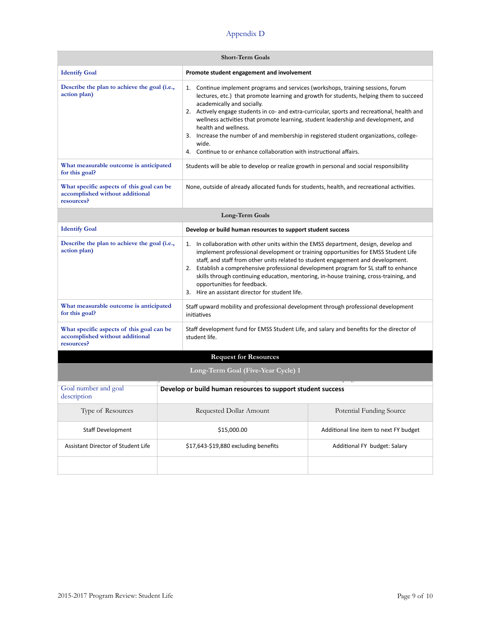| <b>Short-Term Goals</b>                                                                    |                                                             |                                                                                                                                                                                                                                                                                                                                                                                                                                                                                                                                                                                                     |  |  |
|--------------------------------------------------------------------------------------------|-------------------------------------------------------------|-----------------------------------------------------------------------------------------------------------------------------------------------------------------------------------------------------------------------------------------------------------------------------------------------------------------------------------------------------------------------------------------------------------------------------------------------------------------------------------------------------------------------------------------------------------------------------------------------------|--|--|
| <b>Identify Goal</b>                                                                       |                                                             | Promote student engagement and involvement                                                                                                                                                                                                                                                                                                                                                                                                                                                                                                                                                          |  |  |
| Describe the plan to achieve the goal (i.e.,<br>action plan)                               |                                                             | Continue implement programs and services (workshops, training sessions, forum<br>1.<br>lectures, etc.) that promote learning and growth for students, helping them to succeed<br>academically and socially.<br>2. Actively engage students in co- and extra-curricular, sports and recreational, health and<br>wellness activities that promote learning, student leadership and development, and<br>health and wellness.<br>3. Increase the number of and membership in registered student organizations, college-<br>wide.<br>4. Continue to or enhance collaboration with instructional affairs. |  |  |
| What measurable outcome is anticipated<br>for this goal?                                   |                                                             | Students will be able to develop or realize growth in personal and social responsibility                                                                                                                                                                                                                                                                                                                                                                                                                                                                                                            |  |  |
| What specific aspects of this goal can be<br>accomplished without additional<br>resources? |                                                             | None, outside of already allocated funds for students, health, and recreational activities.                                                                                                                                                                                                                                                                                                                                                                                                                                                                                                         |  |  |
| Long-Term Goals                                                                            |                                                             |                                                                                                                                                                                                                                                                                                                                                                                                                                                                                                                                                                                                     |  |  |
| <b>Identify Goal</b>                                                                       |                                                             | Develop or build human resources to support student success                                                                                                                                                                                                                                                                                                                                                                                                                                                                                                                                         |  |  |
| Describe the plan to achieve the goal (i.e.,<br>action plan)                               |                                                             | 1. In collaboration with other units within the EMSS department, design, develop and<br>implement professional development or training opportunities for EMSS Student Life<br>staff, and staff from other units related to student engagement and development.<br>Establish a comprehensive professional development program for SL staff to enhance<br>2.<br>skills through continuing education, mentoring, in-house training, cross-training, and<br>opportunities for feedback.<br>3. Hire an assistant director for student life.                                                              |  |  |
| What measurable outcome is anticipated<br>for this goal?                                   |                                                             | Staff upward mobility and professional development through professional development<br>initiatives                                                                                                                                                                                                                                                                                                                                                                                                                                                                                                  |  |  |
| What specific aspects of this goal can be<br>accomplished without additional<br>resources? |                                                             | Staff development fund for EMSS Student Life, and salary and benefits for the director of<br>student life.                                                                                                                                                                                                                                                                                                                                                                                                                                                                                          |  |  |
| <b>Request for Resources</b>                                                               |                                                             |                                                                                                                                                                                                                                                                                                                                                                                                                                                                                                                                                                                                     |  |  |
| Long-Term Goal (Five-Year Cycle) 1                                                         |                                                             |                                                                                                                                                                                                                                                                                                                                                                                                                                                                                                                                                                                                     |  |  |
| Goal number and goal<br>description                                                        | Develop or build human resources to support student success |                                                                                                                                                                                                                                                                                                                                                                                                                                                                                                                                                                                                     |  |  |
| Type of Resources                                                                          | Requested Dollar Amount<br>Potential Funding Source         |                                                                                                                                                                                                                                                                                                                                                                                                                                                                                                                                                                                                     |  |  |
| <b>Staff Development</b>                                                                   | \$15,000.00<br>Additional line item to next FY budget       |                                                                                                                                                                                                                                                                                                                                                                                                                                                                                                                                                                                                     |  |  |
| Assistant Director of Student Life                                                         |                                                             | \$17,643-\$19,880 excluding benefits<br>Additional FY budget: Salary                                                                                                                                                                                                                                                                                                                                                                                                                                                                                                                                |  |  |
|                                                                                            |                                                             |                                                                                                                                                                                                                                                                                                                                                                                                                                                                                                                                                                                                     |  |  |